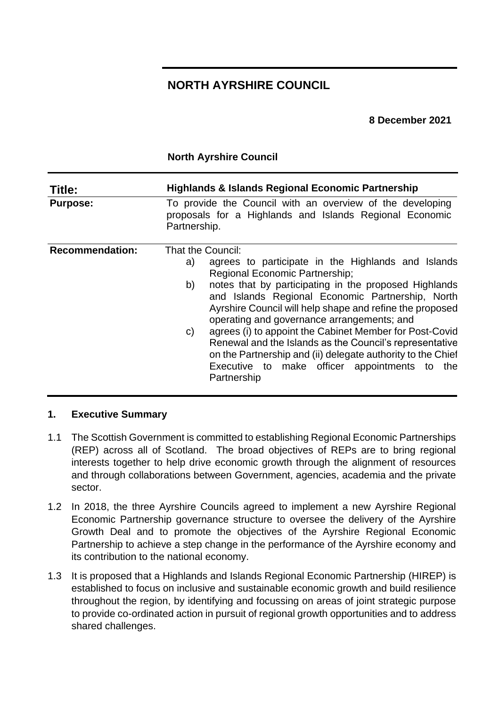# **NORTH AYRSHIRE COUNCIL**

**8 December 2021**

### **North Ayrshire Council**

| Title:                 | <b>Highlands &amp; Islands Regional Economic Partnership</b>                                                                                                                                                                                                                                                                                                                                                                                               |
|------------------------|------------------------------------------------------------------------------------------------------------------------------------------------------------------------------------------------------------------------------------------------------------------------------------------------------------------------------------------------------------------------------------------------------------------------------------------------------------|
| <b>Purpose:</b>        | To provide the Council with an overview of the developing<br>proposals for a Highlands and Islands Regional Economic<br>Partnership.                                                                                                                                                                                                                                                                                                                       |
| <b>Recommendation:</b> | That the Council:                                                                                                                                                                                                                                                                                                                                                                                                                                          |
|                        | agrees to participate in the Highlands and Islands<br>a)<br><b>Regional Economic Partnership;</b><br>notes that by participating in the proposed Highlands<br>b)<br>and Islands Regional Economic Partnership, North<br>Ayrshire Council will help shape and refine the proposed<br>operating and governance arrangements; and<br>agrees (i) to appoint the Cabinet Member for Post-Covid<br>C)<br>Renewal and the Islands as the Council's representative |
|                        | on the Partnership and (ii) delegate authority to the Chief<br>Executive to make officer appointments to the<br>Partnership                                                                                                                                                                                                                                                                                                                                |

#### **1. Executive Summary**

- 1.1 The Scottish Government is committed to establishing Regional Economic Partnerships (REP) across all of Scotland. The broad objectives of REPs are to bring regional interests together to help drive economic growth through the alignment of resources and through collaborations between Government, agencies, academia and the private sector.
- 1.2 In 2018, the three Ayrshire Councils agreed to implement a new Ayrshire Regional Economic Partnership governance structure to oversee the delivery of the Ayrshire Growth Deal and to promote the objectives of the Ayrshire Regional Economic Partnership to achieve a step change in the performance of the Ayrshire economy and its contribution to the national economy.
- 1.3 It is proposed that a Highlands and Islands Regional Economic Partnership (HIREP) is established to focus on inclusive and sustainable economic growth and build resilience throughout the region, by identifying and focussing on areas of joint strategic purpose to provide co-ordinated action in pursuit of regional growth opportunities and to address shared challenges.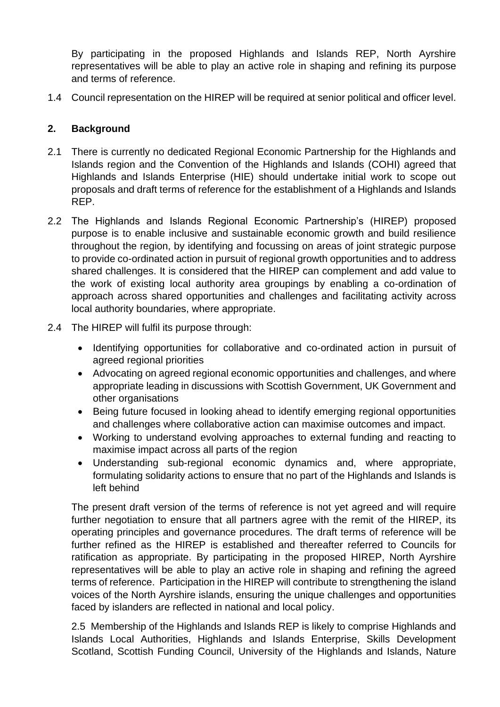By participating in the proposed Highlands and Islands REP, North Ayrshire representatives will be able to play an active role in shaping and refining its purpose and terms of reference.

1.4 Council representation on the HIREP will be required at senior political and officer level.

### **2. Background**

- 2.1 There is currently no dedicated Regional Economic Partnership for the Highlands and Islands region and the Convention of the Highlands and Islands (COHI) agreed that Highlands and Islands Enterprise (HIE) should undertake initial work to scope out proposals and draft terms of reference for the establishment of a Highlands and Islands REP.
- 2.2 The Highlands and Islands Regional Economic Partnership's (HIREP) proposed purpose is to enable inclusive and sustainable economic growth and build resilience throughout the region, by identifying and focussing on areas of joint strategic purpose to provide co-ordinated action in pursuit of regional growth opportunities and to address shared challenges. It is considered that the HIREP can complement and add value to the work of existing local authority area groupings by enabling a co-ordination of approach across shared opportunities and challenges and facilitating activity across local authority boundaries, where appropriate.
- 2.4 The HIREP will fulfil its purpose through:
	- Identifying opportunities for collaborative and co-ordinated action in pursuit of agreed regional priorities
	- Advocating on agreed regional economic opportunities and challenges, and where appropriate leading in discussions with Scottish Government, UK Government and other organisations
	- Being future focused in looking ahead to identify emerging regional opportunities and challenges where collaborative action can maximise outcomes and impact.
	- Working to understand evolving approaches to external funding and reacting to maximise impact across all parts of the region
	- Understanding sub-regional economic dynamics and, where appropriate, formulating solidarity actions to ensure that no part of the Highlands and Islands is left behind

The present draft version of the terms of reference is not yet agreed and will require further negotiation to ensure that all partners agree with the remit of the HIREP, its operating principles and governance procedures. The draft terms of reference will be further refined as the HIREP is established and thereafter referred to Councils for ratification as appropriate. By participating in the proposed HIREP, North Ayrshire representatives will be able to play an active role in shaping and refining the agreed terms of reference. Participation in the HIREP will contribute to strengthening the island voices of the North Ayrshire islands, ensuring the unique challenges and opportunities faced by islanders are reflected in national and local policy.

2.5 Membership of the Highlands and Islands REP is likely to comprise Highlands and Islands Local Authorities, Highlands and Islands Enterprise, Skills Development Scotland, Scottish Funding Council, University of the Highlands and Islands, Nature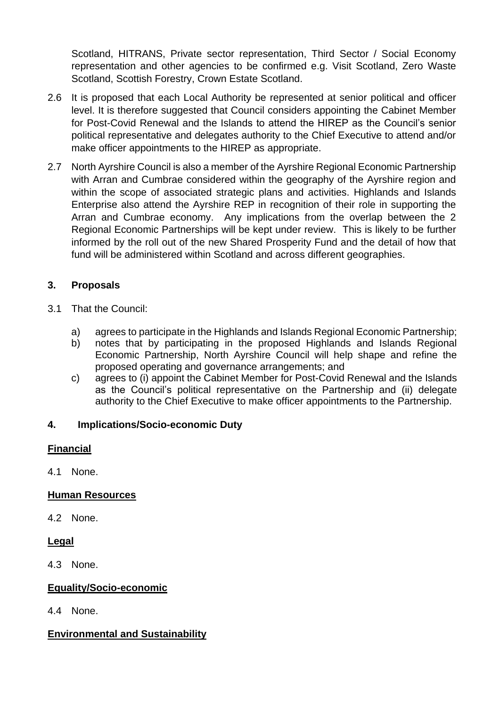Scotland, HITRANS, Private sector representation, Third Sector / Social Economy representation and other agencies to be confirmed e.g. Visit Scotland, Zero Waste Scotland, Scottish Forestry, Crown Estate Scotland.

- 2.6 It is proposed that each Local Authority be represented at senior political and officer level. It is therefore suggested that Council considers appointing the Cabinet Member for Post-Covid Renewal and the Islands to attend the HIREP as the Council's senior political representative and delegates authority to the Chief Executive to attend and/or make officer appointments to the HIREP as appropriate.
- 2.7 North Ayrshire Council is also a member of the Ayrshire Regional Economic Partnership with Arran and Cumbrae considered within the geography of the Ayrshire region and within the scope of associated strategic plans and activities. Highlands and Islands Enterprise also attend the Ayrshire REP in recognition of their role in supporting the Arran and Cumbrae economy. Any implications from the overlap between the 2 Regional Economic Partnerships will be kept under review. This is likely to be further informed by the roll out of the new Shared Prosperity Fund and the detail of how that fund will be administered within Scotland and across different geographies.

# **3. Proposals**

- 3.1 That the Council:
	- a) agrees to participate in the Highlands and Islands Regional Economic Partnership;
	- b) notes that by participating in the proposed Highlands and Islands Regional Economic Partnership, North Ayrshire Council will help shape and refine the proposed operating and governance arrangements; and
	- c) agrees to (i) appoint the Cabinet Member for Post-Covid Renewal and the Islands as the Council's political representative on the Partnership and (ii) delegate authority to the Chief Executive to make officer appointments to the Partnership.

#### **4. Implications/Socio-economic Duty**

#### **Financial**

4.1 None.

### **Human Resources**

4.2 None.

#### **Legal**

4.3 None.

### **Equality/Socio-economic**

4.4 None.

#### **Environmental and Sustainability**